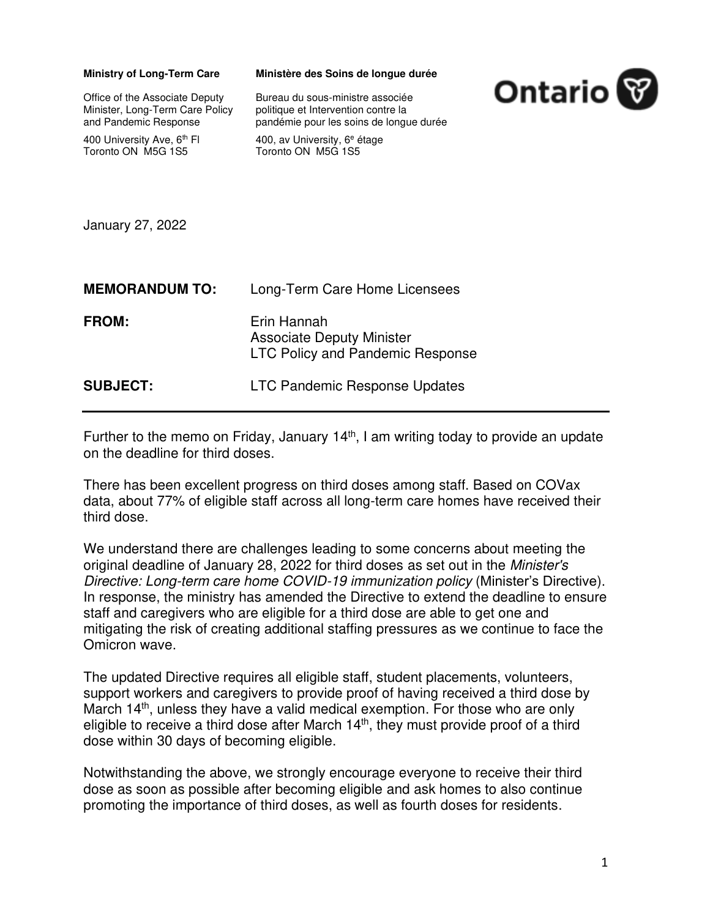| <b>Ministry of Long-Term Care</b><br>Office of the Associate Deputy<br>Minister, Long-Term Care Policy<br>and Pandemic Response<br>400 University Ave, 6 <sup>th</sup> FI<br>Toronto ON M5G 1S5<br>January 27, 2022 | Ministère des Soins de longue durée<br>Bureau du sous-ministre associée<br>politique et Intervention contre la<br>pandémie pour les soins de longue durée<br>400, av University, 6 <sup>e</sup> étage<br>Toronto ON M5G 1S5 | Ontario <sup></sup> |
|---------------------------------------------------------------------------------------------------------------------------------------------------------------------------------------------------------------------|-----------------------------------------------------------------------------------------------------------------------------------------------------------------------------------------------------------------------------|---------------------|
| <b>MEMORANDUM TO:</b>                                                                                                                                                                                               | Long-Term Care Home Licensees                                                                                                                                                                                               |                     |
| <b>FROM:</b>                                                                                                                                                                                                        | Erin Hannah<br><b>Associate Deputy Minister</b><br><b>LTC Policy and Pandemic Response</b>                                                                                                                                  |                     |
| <b>SUBJECT:</b>                                                                                                                                                                                                     | <b>LTC Pandemic Response Updates</b>                                                                                                                                                                                        |                     |

Further to the memo on Friday, January  $14<sup>th</sup>$ , I am writing today to provide an update on the deadline for third doses.

There has been excellent progress on third doses among staff. Based on COVax data, about 77% of eligible staff across all long-term care homes have received their third dose.

We understand there are challenges leading to some concerns about meeting the original deadline of January 28, 2022 for third doses as set out in the Minister's Directive: Long-term care home COVID-19 immunization policy (Minister's Directive). In response, the ministry has amended the Directive to extend the deadline to ensure staff and caregivers who are eligible for a third dose are able to get one and mitigating the risk of creating additional staffing pressures as we continue to face the Omicron wave.

The updated Directive requires all eligible staff, student placements, volunteers, support workers and caregivers to provide proof of having received a third dose by March 14<sup>th</sup>, unless they have a valid medical exemption. For those who are only eligible to receive a third dose after March 14<sup>th</sup>, they must provide proof of a third dose within 30 days of becoming eligible.

Notwithstanding the above, we strongly encourage everyone to receive their third dose as soon as possible after becoming eligible and ask homes to also continue promoting the importance of third doses, as well as fourth doses for residents.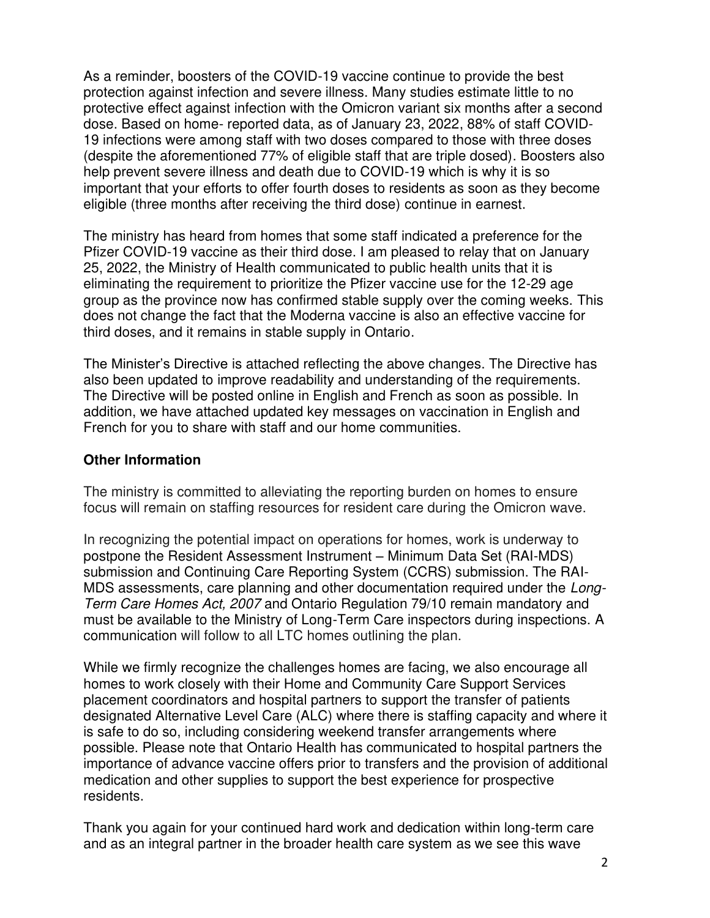As a reminder, boosters of the COVID-19 vaccine continue to provide the best protection against infection and severe illness. Many studies estimate little to no protective effect against infection with the Omicron variant six months after a second dose. Based on home- reported data, as of January 23, 2022, 88% of staff COVID-19 infections were among staff with two doses compared to those with three doses (despite the aforementioned 77% of eligible staff that are triple dosed). Boosters also help prevent severe illness and death due to COVID-19 which is why it is so important that your efforts to offer fourth doses to residents as soon as they become eligible (three months after receiving the third dose) continue in earnest.

The ministry has heard from homes that some staff indicated a preference for the Pfizer COVID-19 vaccine as their third dose. I am pleased to relay that on January 25, 2022, the Ministry of Health communicated to public health units that it is eliminating the requirement to prioritize the Pfizer vaccine use for the 12-29 age group as the province now has confirmed stable supply over the coming weeks. This does not change the fact that the Moderna vaccine is also an effective vaccine for third doses, and it remains in stable supply in Ontario.

The Minister's Directive is attached reflecting the above changes. The Directive has also been updated to improve readability and understanding of the requirements. The Directive will be posted online in English and French as soon as possible. In addition, we have attached updated key messages on vaccination in English and French for you to share with staff and our home communities.

## **Other Information**

The ministry is committed to alleviating the reporting burden on homes to ensure focus will remain on staffing resources for resident care during the Omicron wave.

In recognizing the potential impact on operations for homes, work is underway to postpone the Resident Assessment Instrument – Minimum Data Set (RAI-MDS) submission and Continuing Care Reporting System (CCRS) submission. The RAI-MDS assessments, care planning and other documentation required under the Long-Term Care Homes Act, 2007 and Ontario Regulation 79/10 remain mandatory and must be available to the Ministry of Long-Term Care inspectors during inspections. A communication will follow to all LTC homes outlining the plan.

While we firmly recognize the challenges homes are facing, we also encourage all homes to work closely with their Home and Community Care Support Services placement coordinators and hospital partners to support the transfer of patients designated Alternative Level Care (ALC) where there is staffing capacity and where it is safe to do so, including considering weekend transfer arrangements where possible. Please note that Ontario Health has communicated to hospital partners the importance of advance vaccine offers prior to transfers and the provision of additional medication and other supplies to support the best experience for prospective residents.

Thank you again for your continued hard work and dedication within long-term care and as an integral partner in the broader health care system as we see this wave